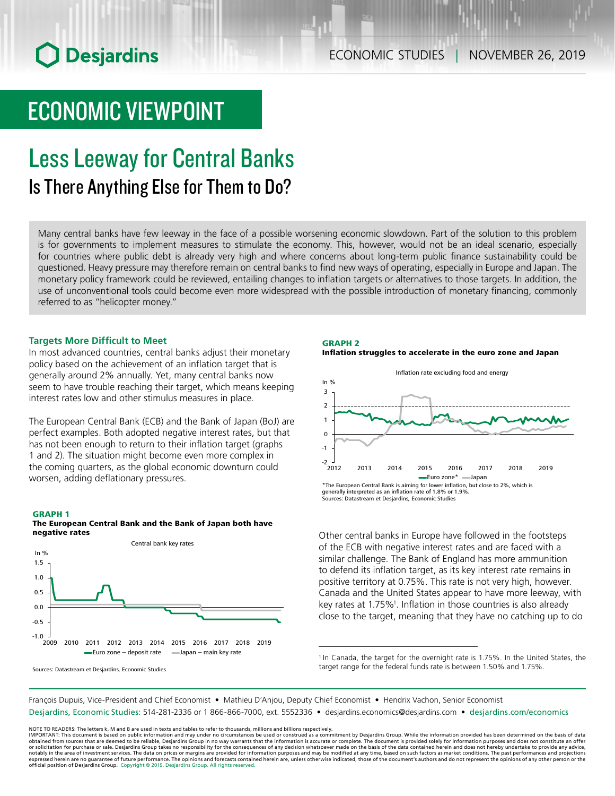# **O** Desjardins

# ECONOMIC VIEWPOINT

# Less Leeway for Central Banks Is There Anything Else for Them to Do?

Many central banks have few leeway in the face of a possible worsening economic slowdown. Part of the solution to this problem is for governments to implement measures to stimulate the economy. This, however, would not be an ideal scenario, especially for countries where public debt is already very high and where concerns about long-term public finance sustainability could be questioned. Heavy pressure may therefore remain on central banks to find new ways of operating, especially in Europe and Japan. The monetary policy framework could be reviewed, entailing changes to inflation targets or alternatives to those targets. In addition, the use of unconventional tools could become even more widespread with the possible introduction of monetary financing, commonly referred to as "helicopter money."

### **Targets More Difficult to Meet**

In most advanced countries, central banks adjust their monetary policy based on the achievement of an inflation target that is generally around 2% annually. Yet, many central banks now seem to have trouble reaching their target, which means keeping interest rates low and other stimulus measures in place.

The European Central Bank (ECB) and the Bank of Japan (BoJ) are perfect examples. Both adopted negative interest rates, but that has not been enough to return to their inflation target (graphs 1 and 2). The situation might become even more complex in the coming quarters, as the global economic downturn could worsen, adding deflationary pressures.

#### GRAPH 1





Sources: Datastream et Desjardins, Economic Studies

#### GRAPH 2 Inflation struggles to accelerate in the euro zone and Japan



Other central banks in Europe have followed in the footsteps of the ECB with negative interest rates and are faced with a similar challenge. The Bank of England has more ammunition to defend its inflation target, as its key interest rate remains in positive territory at 0.75%. This rate is not very high, however. Canada and the United States appear to have more leeway, with key rates at 1.75%<sup>1</sup>. Inflation in those countries is also already close to the target, meaning that they have no catching up to do

<sup>1</sup> In Canada, the target for the overnight rate is 1.75%. In the United States, the target range for the federal funds rate is between 1.50% and 1.75%.

François Dupuis, Vice-President and Chief Economist • Mathieu D'Anjou, Deputy Chief Economist • Hendrix Vachon, Senior Economist Desjardins, Economic Studies: 514-281-2336 or 1 866-866-7000, ext. 5552336 • desjardins.economics@desjardins.com • [desjardins.com/economics](http://desjardins.com/economics)

NOTE TO READERS: The letters k, M and B are used in texts and tables to refer to thousands, millions and billions respectively.<br>IMPORTANT: This document is based on public information and may under no circumstances be used obtained from sources that are deemed to be reliable, Desjardins Group in no way warrants that the information is accurate or complete. The document is provided solely for information purposes and does not constitute an of expressed herein are no guarantee of future performance. The opinions and forecasts contained herein are, unless otherwise indicated, those of the document's authors and do not represent the opinions of any other person or official position of Desjardins Group. Copyright © 2019, Desjardins Group. All rights reserved.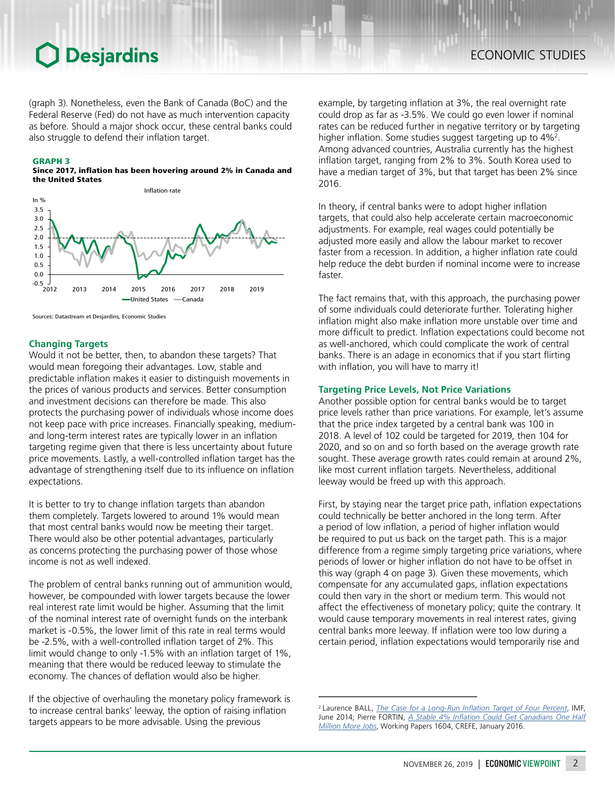# **O** Desjardins

(graph 3). Nonetheless, even the Bank of Canada (BoC) and the Federal Reserve (Fed) do not have as much intervention capacity as before. Should a major shock occur, these central banks could also struggle to defend their inflation target.

#### GRAPH 3

Since 2017, inflation has been hovering around 2% in Canada and the United States



Sources: Datastream et Desjardins, Economic Studies

### **Changing Targets**

Would it not be better, then, to abandon these targets? That would mean foregoing their advantages. Low, stable and predictable inflation makes it easier to distinguish movements in the prices of various products and services. Better consumption and investment decisions can therefore be made. This also protects the purchasing power of individuals whose income does not keep pace with price increases. Financially speaking, mediumand long-term interest rates are typically lower in an inflation targeting regime given that there is less uncertainty about future price movements. Lastly, a well-controlled inflation target has the advantage of strengthening itself due to its influence on inflation expectations.

It is better to try to change inflation targets than abandon them completely. Targets lowered to around 1% would mean that most central banks would now be meeting their target. There would also be other potential advantages, particularly as concerns protecting the purchasing power of those whose income is not as well indexed.

The problem of central banks running out of ammunition would, however, be compounded with lower targets because the lower real interest rate limit would be higher. Assuming that the limit of the nominal interest rate of overnight funds on the interbank market is -0.5%, the lower limit of this rate in real terms would be -2.5%, with a well-controlled inflation target of 2%. This limit would change to only -1.5% with an inflation target of 1%, meaning that there would be reduced leeway to stimulate the economy. The chances of deflation would also be higher.

If the objective of overhauling the monetary policy framework is to increase central banks' leeway, the option of raising inflation targets appears to be more advisable. Using the previous

example, by targeting inflation at 3%, the real overnight rate could drop as far as -3.5%. We could go even lower if nominal rates can be reduced further in negative territory or by targeting higher inflation. Some studies suggest targeting up to 4%<sup>2</sup>. Among advanced countries, Australia currently has the highest inflation target, ranging from 2% to 3%. South Korea used to have a median target of 3%, but that target has been 2% since 2016.

In theory, if central banks were to adopt higher inflation targets, that could also help accelerate certain macroeconomic adjustments. For example, real wages could potentially be adjusted more easily and allow the labour market to recover faster from a recession. In addition, a higher inflation rate could help reduce the debt burden if nominal income were to increase faster.

The fact remains that, with this approach, the purchasing power of some individuals could deteriorate further. Tolerating higher inflation might also make inflation more unstable over time and more difficult to predict. Inflation expectations could become not as well-anchored, which could complicate the work of central banks. There is an adage in economics that if you start flirting with inflation, you will have to marry it!

### **Targeting Price Levels, Not Price Variations**

Another possible option for central banks would be to target price levels rather than price variations. For example, let's assume that the price index targeted by a central bank was 100 in 2018. A level of 102 could be targeted for 2019, then 104 for 2020, and so on and so forth based on the average growth rate sought. These average growth rates could remain at around 2%, like most current inflation targets. Nevertheless, additional leeway would be freed up with this approach.

First, by staying near the target price path, inflation expectations could technically be better anchored in the long term. After a period of low inflation, a period of higher inflation would be required to put us back on the target path. This is a major difference from a regime simply targeting price variations, where periods of lower or higher inflation do not have to be offset in this way (graph 4 on page 3). Given these movements, which compensate for any accumulated gaps, inflation expectations could then vary in the short or medium term. This would not affect the effectiveness of monetary policy; quite the contrary. It would cause temporary movements in real interest rates, giving central banks more leeway. If inflation were too low during a certain period, inflation expectations would temporarily rise and

<sup>2</sup>Laurence BALL, *[The Case for a Long-Run Inflation Target of Four Percent](https://www.imf.org/external/pubs/ft/wp/2014/wp1492.pdf)*, IMF, June 2014; Pierre FORTIN, *[A Stable 4% Inflation Could Get Canadians One Half](https://ideas.repec.org/p/lvl/lacicr/1604.html) [Million More Jobs](https://ideas.repec.org/p/lvl/lacicr/1604.html)*, Working Papers 1604, CREFE, January 2016.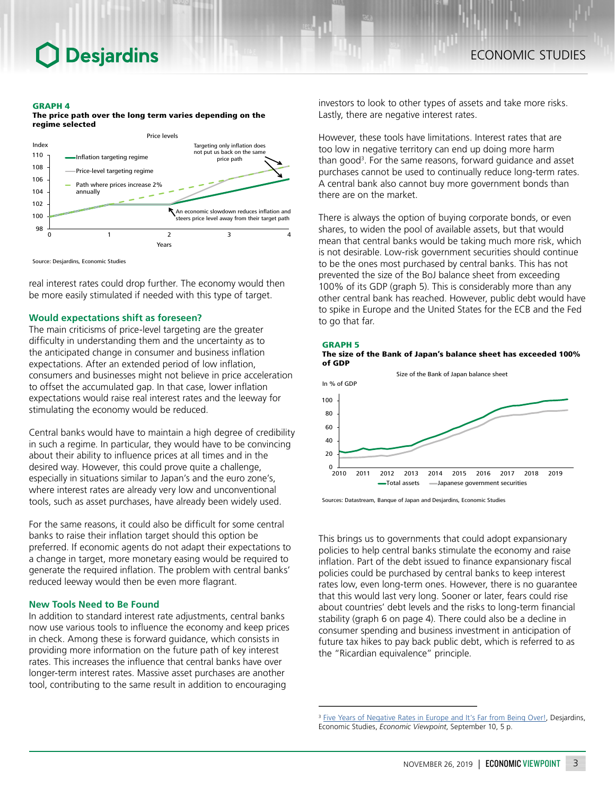# **Desjardins**

#### GRAPH 4

The price path over the long term varies depending on the regime selected



Source: Desjardins, Economic Studies

real interest rates could drop further. The economy would then be more easily stimulated if needed with this type of target.

### **Would expectations shift as foreseen?**

The main criticisms of price-level targeting are the greater difficulty in understanding them and the uncertainty as to the anticipated change in consumer and business inflation expectations. After an extended period of low inflation, consumers and businesses might not believe in price acceleration to offset the accumulated gap. In that case, lower inflation expectations would raise real interest rates and the leeway for stimulating the economy would be reduced.

Central banks would have to maintain a high degree of credibility in such a regime. In particular, they would have to be convincing about their ability to influence prices at all times and in the desired way. However, this could prove quite a challenge, especially in situations similar to Japan's and the euro zone's, where interest rates are already very low and unconventional tools, such as asset purchases, have already been widely used.

For the same reasons, it could also be difficult for some central banks to raise their inflation target should this option be preferred. If economic agents do not adapt their expectations to a change in target, more monetary easing would be required to generate the required inflation. The problem with central banks' reduced leeway would then be even more flagrant.

### **New Tools Need to Be Found**

In addition to standard interest rate adjustments, central banks now use various tools to influence the economy and keep prices in check. Among these is forward guidance, which consists in providing more information on the future path of key interest rates. This increases the influence that central banks have over longer-term interest rates. Massive asset purchases are another tool, contributing to the same result in addition to encouraging

investors to look to other types of assets and take more risks. Lastly, there are negative interest rates.

However, these tools have limitations. Interest rates that are too low in negative territory can end up doing more harm than good<sup>3</sup>. For the same reasons, forward guidance and asset purchases cannot be used to continually reduce long-term rates. A central bank also cannot buy more government bonds than there are on the market.

There is always the option of buying corporate bonds, or even shares, to widen the pool of available assets, but that would mean that central banks would be taking much more risk, which is not desirable. Low-risk government securities should continue to be the ones most purchased by central banks. This has not prevented the size of the BoJ balance sheet from exceeding 100% of its GDP (graph 5). This is considerably more than any other central bank has reached. However, public debt would have to spike in Europe and the United States for the ECB and the Fed to go that far.





Sources: Datastream, Banque of Japan and Desjardins, Economic Studies

This brings us to governments that could adopt expansionary policies to help central banks stimulate the economy and raise inflation. Part of the debt issued to finance expansionary fiscal policies could be purchased by central banks to keep interest rates low, even long-term ones. However, there is no guarantee that this would last very long. Sooner or later, fears could rise about countries' debt levels and the risks to long-term financial stability (graph 6 on page 4). There could also be a decline in consumer spending and business investment in anticipation of future tax hikes to pay back public debt, which is referred to as the "Ricardian equivalence" principle.

<sup>&</sup>lt;sup>3</sup> [Five Years of Negative Rates in Europe and It's Far from Being Over!](https://www.desjardins.com/ressources/pdf/pv190910-e.pdf?resVer=1568122935000), Desjardins, Economic Studies, *Economic Viewpoint*, September 10, 5 p.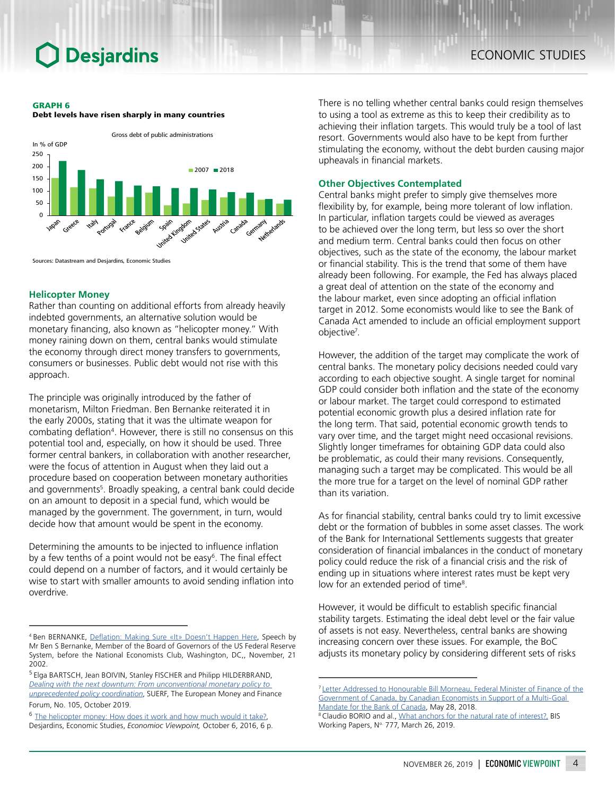# **Desjardins**

#### GRAPH 6





Sources: Datastream and Desjardins, Economic Studies

### **Helicopter Money**

Rather than counting on additional efforts from already heavily indebted governments, an alternative solution would be monetary financing, also known as "helicopter money." With money raining down on them, central banks would stimulate the economy through direct money transfers to governments, consumers or businesses. Public debt would not rise with this approach.

The principle was originally introduced by the father of monetarism, Milton Friedman. Ben Bernanke reiterated it in the early 2000s, stating that it was the ultimate weapon for combating deflation<sup>4</sup>. However, there is still no consensus on this potential tool and, especially, on how it should be used. Three former central bankers, in collaboration with another researcher, were the focus of attention in August when they laid out a procedure based on cooperation between monetary authorities and governments<sup>5</sup>. Broadly speaking, a central bank could decide on an amount to deposit in a special fund, which would be managed by the government. The government, in turn, would decide how that amount would be spent in the economy.

Determining the amounts to be injected to influence inflation by a few tenths of a point would not be easy<sup>6</sup>. The final effect could depend on a number of factors, and it would certainly be wise to start with smaller amounts to avoid sending inflation into overdrive.

<sup>5</sup>Elga BARTSCH, Jean BOIVIN, Stanley FISCHER and Philipp HILDERBRAND, *[Dealing with the next downturn: From unconventional monetary policy to](https://www.suerf.org/docx/f_77ae1a5da3b68dc65a9d1648242a29a7_8209_suerf.pdf)  [unprecedented policy coordination](https://www.suerf.org/docx/f_77ae1a5da3b68dc65a9d1648242a29a7_8209_suerf.pdf)*, SUERF, The European Money and Finance

Forum, No. 105, October 2019.

<sup>6</sup> [The helicopter money: How does it work and how much would it take?](https://www.desjardins.com/ressources/pdf/pv161006-e.pdf?resVer=1475767240000), Desjardins, Economic Studies, *Economioc Viewpoint,* October 6, 2016, 6 p. There is no telling whether central banks could resign themselves to using a tool as extreme as this to keep their credibility as to achieving their inflation targets. This would truly be a tool of last resort. Governments would also have to be kept from further stimulating the economy, without the debt burden causing major upheavals in financial markets.

## **Other Objectives Contemplated**

Central banks might prefer to simply give themselves more flexibility by, for example, being more tolerant of low inflation. In particular, inflation targets could be viewed as averages to be achieved over the long term, but less so over the short and medium term. Central banks could then focus on other objectives, such as the state of the economy, the labour market or financial stability. This is the trend that some of them have already been following. For example, the Fed has always placed a great deal of attention on the state of the economy and the labour market, even since adopting an official inflation target in 2012. Some economists would like to see the Bank of Canada Act amended to include an official employment support objective7 .

However, the addition of the target may complicate the work of central banks. The monetary policy decisions needed could vary according to each objective sought. A single target for nominal GDP could consider both inflation and the state of the economy or labour market. The target could correspond to estimated potential economic growth plus a desired inflation rate for the long term. That said, potential economic growth tends to vary over time, and the target might need occasional revisions. Slightly longer timeframes for obtaining GDP data could also be problematic, as could their many revisions. Consequently, managing such a target may be complicated. This would be all the more true for a target on the level of nominal GDP rather than its variation.

As for financial stability, central banks could try to limit excessive debt or the formation of bubbles in some asset classes. The work of the Bank for International Settlements suggests that greater consideration of financial imbalances in the conduct of monetary policy could reduce the risk of a financial crisis and the risk of ending up in situations where interest rates must be kept very low for an extended period of time<sup>8</sup>.

However, it would be difficult to establish specific financial stability targets. Estimating the ideal debt level or the fair value of assets is not easy. Nevertheless, central banks are showing increasing concern over these issues. For example, the BoC adjusts its monetary policy by considering different sets of risks

<sup>4</sup> Ben BERNANKE, [Deflation: Making Sure «It» Doesn't Happen Here](https://www.federalreserve.gov/boarddocs/speeches/2002/20021121/), Speech by Mr Ben S Bernanke, Member of the Board of Governors of the US Federal Reserve System, before the National Economists Club, Washington, DC,, November, 21 2002.

<sup>&</sup>lt;sup>7</sup>[Letter Addressed to Honourable Bill Morneau, Federal Minister of Finance of the](http://www.progressive-economics.ca/wp-content/uploads/2018/06/Declaration-by-Canadian-Economists-Bank-of-Canada-May-2018.pdf) [Government of Canada, by Canadian Economists in Support of a Multi-Goal](http://www.progressive-economics.ca/wp-content/uploads/2018/06/Declaration-by-Canadian-Economists-Bank-of-Canada-May-2018.pdf)  [Mandate for the Bank of Canada](http://www.progressive-economics.ca/wp-content/uploads/2018/06/Declaration-by-Canadian-Economists-Bank-of-Canada-May-2018.pdf), May 28, 2018.

<sup>&</sup>lt;sup>8</sup> Claudio BORIO and al., [What anchors for the natural rate of interest?,](https://www.bis.org/publ/work777.htm) BIS Working Papers, Nº 777, March 26, 2019.